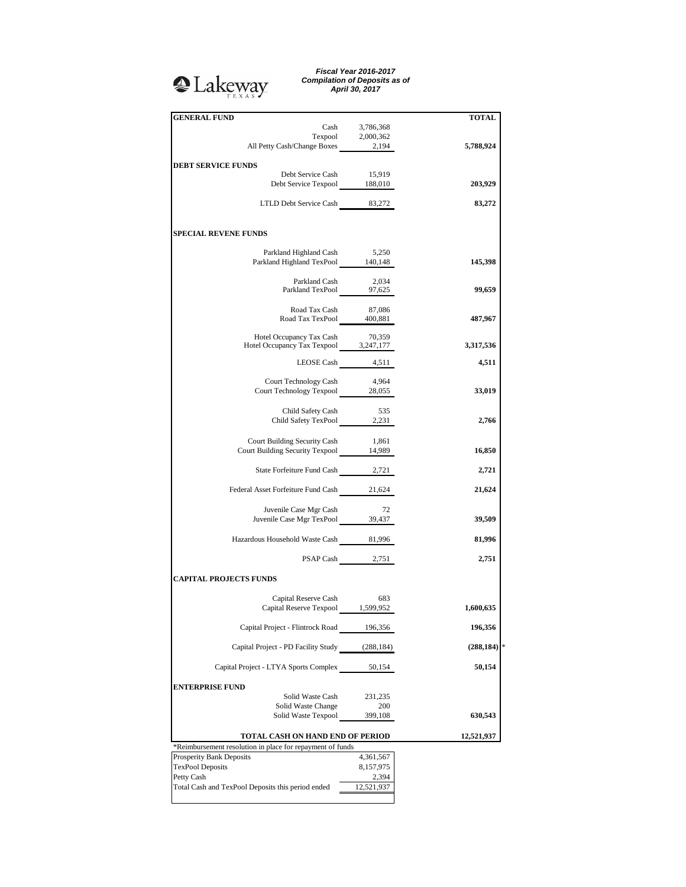## <sup>2</sup>Lakeway

*Fiscal Year 2016-2017 Compilation of Deposits as of April 30, 2017*

| <b>GENERAL FUND</b>                                                                                                               |                    | <b>TOTAL</b> |
|-----------------------------------------------------------------------------------------------------------------------------------|--------------------|--------------|
|                                                                                                                                   | Cash 3,786,368     |              |
|                                                                                                                                   |                    |              |
| $\begin{tabular}{c} \textbf{Terpool} & \textbf{2,000,362} \\ \textbf{All Petty Cash/Change Boxes} & \textbf{2,194} \end{tabular}$ |                    | 5,788,924    |
|                                                                                                                                   |                    |              |
| <b>DEBT SERVICE FUNDS</b><br>Debt Service Cash                                                                                    | 15,919             |              |
| Debt Service Texpool 188,010                                                                                                      |                    | 203,929      |
|                                                                                                                                   |                    |              |
| LTLD Debt Service Cash 83,272                                                                                                     |                    | 83,272       |
|                                                                                                                                   |                    |              |
| <b>SPECIAL REVENE FUNDS</b>                                                                                                       |                    |              |
|                                                                                                                                   |                    |              |
| Parkland Highland Cash<br>Parkland Highland TexPool 140,148                                                                       | 5,250              | 145,398      |
|                                                                                                                                   |                    |              |
| Parkland Cash                                                                                                                     | 2,034              |              |
| Parkland Cash 2,034<br>Parkland TexPool 97,625                                                                                    |                    | 99,659       |
|                                                                                                                                   |                    |              |
| Road Tax Cash<br>Road Tax TexPool 400,881                                                                                         | 87,086             | 487,967      |
|                                                                                                                                   |                    |              |
| Hotel Occupancy Tax Cash                                                                                                          | 70,359             |              |
| Hotel Occupancy Tax Texpool 3,247,177                                                                                             |                    | 3,317,536    |
|                                                                                                                                   | LEOSE Cash 4,511   | 4,511        |
|                                                                                                                                   |                    |              |
| Court Technology Cash                                                                                                             | 4,964              |              |
| Court Technology Texpool 28,055                                                                                                   |                    | 33,019       |
|                                                                                                                                   |                    |              |
| Child Safety Cash                                                                                                                 | 535                |              |
| Child Safety TexPool 2,231                                                                                                        |                    | 2,766        |
|                                                                                                                                   |                    |              |
| Court Building Security Cash 1,861<br>Court Building Security Texpool 14,989                                                      |                    | 16,850       |
|                                                                                                                                   |                    |              |
| State Forfeiture Fund Cash 2,721                                                                                                  |                    | 2,721        |
|                                                                                                                                   |                    |              |
| Federal Asset Forfeiture Fund Cash 21,624                                                                                         |                    | 21,624       |
|                                                                                                                                   |                    |              |
| Juvenile Case Mgr Cash<br>Juvenile Case Mgr TexPool 39,437                                                                        | 72                 | 39,509       |
|                                                                                                                                   |                    |              |
| Hazardous Household Waste Cash 81,996                                                                                             |                    | 81,996       |
|                                                                                                                                   |                    |              |
|                                                                                                                                   | PSAP Cash 2,751    | 2,751        |
|                                                                                                                                   |                    |              |
| <b>CAPITAL PROJECTS FUNDS</b>                                                                                                     |                    |              |
|                                                                                                                                   |                    |              |
| Capital Reserve Cash<br>Capital Reserve Texpool 1,599,952                                                                         | 683                | 1,600,635    |
|                                                                                                                                   |                    |              |
| Capital Project - Flintrock Road 196,356                                                                                          |                    | 196,356      |
|                                                                                                                                   |                    |              |
| Capital Project - PD Facility Study (288,184)                                                                                     |                    | (288, 184)   |
|                                                                                                                                   |                    |              |
| Capital Project - LTYA Sports Complex                                                                                             | 50,154             | 50,154       |
|                                                                                                                                   |                    |              |
| <b>ENTERPRISE FUND</b><br>Solid Waste Cash                                                                                        | 231,235            |              |
| Solid Waste Change                                                                                                                | 200                |              |
| Solid Waste Texpool                                                                                                               | 399,108            | 630,543      |
|                                                                                                                                   |                    |              |
| TOTAL CASH ON HAND END OF PERIOD                                                                                                  |                    | 12,521,937   |
| *Reimbursement resolution in place for repayment of funds                                                                         |                    |              |
| Prosperity Bank Deposits                                                                                                          | 4,361,567          |              |
| <b>TexPool Deposits</b><br>Petty Cash                                                                                             | 8,157,975<br>2,394 |              |
| Total Cash and TexPool Deposits this period ended                                                                                 | 12,521,937         |              |
|                                                                                                                                   |                    |              |
|                                                                                                                                   |                    |              |